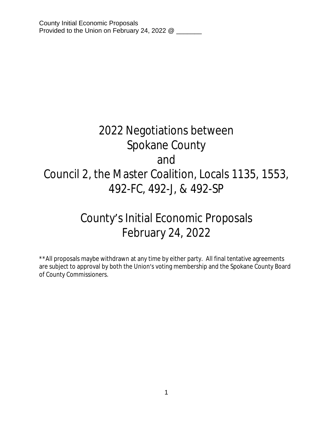# 2022 Negotiations between Spokane County and Council 2, the Master Coalition, Locals 1135, 1553, 492-FC, 492-J, & 492-SP

# County's Initial Economic Proposals February 24, 2022

\*\*All proposals maybe withdrawn at any time by either party. All final tentative agreements are subject to approval by both the Union's voting membership and the Spokane County Board of County Commissioners.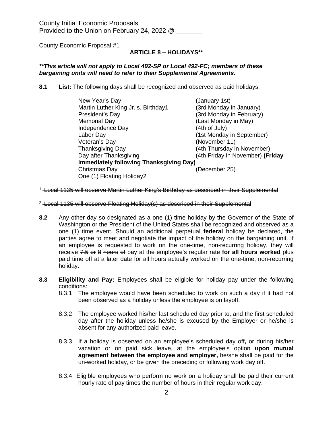County Economic Proposal #1

# **ARTICLE 8 – HOLIDAYS\*\***

#### *\*\*This article will not apply to Local 492-SP or Local 492-FC; members of these bargaining units will need to refer to their Supplemental Agreements.*

**8.1 List:** The following days shall be recognized and observed as paid holidays:

| New Year's Day                          | (January 1st)                    |  |
|-----------------------------------------|----------------------------------|--|
| Martin Luther King Jr.'s. Birthday4     | (3rd Monday in January)          |  |
| President's Day                         | (3rd Monday in February)         |  |
| <b>Memorial Day</b>                     | (Last Monday in May)             |  |
| Independence Day                        | (4th of July)                    |  |
| Labor Day                               | (1st Monday in September)        |  |
| Veteran's Day                           | (November 11)                    |  |
| <b>Thanksgiving Day</b>                 | (4th Thursday in November)       |  |
| Day after Thanksgiving                  | (4th Friday in November) (Friday |  |
| immediately following Thanksgiving Day) |                                  |  |
| Christmas Day                           | (December 25)                    |  |
| One (1) Floating Holiday2               |                                  |  |

<sup>1-</sup> Local 1135 will observe Martin Luther King's Birthday as described in their Supplemental

- <sup>2.</sup> Local 1135 will observe Floating Holiday(s) as described in their Supplemental
- **8.2** Any other day so designated as a one (1) time holiday by the Governor of the State of Washington or the President of the United States shall be recognized and observed as a one (1) time event. Should an additional perpetual **federal** holiday be declared, the parties agree to meet and negotiate the impact of the holiday on the bargaining unit. If an employee is requested to work on the one-time, non-recurring holiday, they will receive 7.5 or 8 hours of pay at the employee's regular rate **for all hours worked** plus paid time off at a later date for all hours actually worked on the one-time, non-recurring holiday.
- **8.3 Eligibility and Pay:** Employees shall be eligible for holiday pay under the following conditions:
	- 8.3.1 The employee would have been scheduled to work on such a day if it had not been observed as a holiday unless the employee is on layoff.
	- 8.3.2 The employee worked his/her last scheduled day prior to, and the first scheduled day after the holiday unless he/she is excused by the Employer or he/she is absent for any authorized paid leave.
	- 8.3.3 If a holiday is observed on an employee's scheduled day off**,** or during his/her vacation or on paid sick leave, at the employee's option **upon mutual agreement between the employee and employer,** he/she shall be paid for the un-worked holiday, or be given the preceding or following work day off.
	- 8.3.4 Eligible employees who perform no work on a holiday shall be paid their current hourly rate of pay times the number of hours in their regular work day.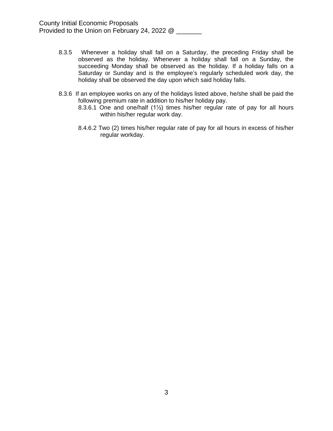- 8.3.5 Whenever a holiday shall fall on a Saturday, the preceding Friday shall be observed as the holiday. Whenever a holiday shall fall on a Sunday, the succeeding Monday shall be observed as the holiday. If a holiday falls on a Saturday or Sunday and is the employee's regularly scheduled work day, the holiday shall be observed the day upon which said holiday falls.
- 8.3.6 If an employee works on any of the holidays listed above, he/she shall be paid the following premium rate in addition to his/her holiday pay.
	- 8.3.6.1 One and one/half (1½) times his/her regular rate of pay for all hours within his/her regular work day.
	- 8.4.6.2 Two (2) times his/her regular rate of pay for all hours in excess of his/her regular workday.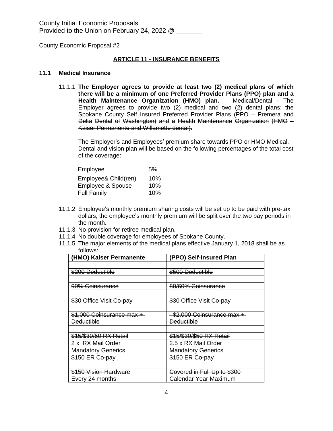County Economic Proposal #2

#### **ARTICLE 11 - INSURANCE BENEFITS**

#### **11.1 Medical Insurance**

11.1.1 **The Employer agrees to provide at least two (2) medical plans of which there will be a minimum of one Preferred Provider Plans (PPO) plan and a Health Maintenance Organization (HMO) plan.** Medical/Dental - The Employer agrees to provide two (2) medical and two (2) dental plans; the Spokane County Self Insured Preferred Provider Plans (PPO – Premera and Delta Dental of Washington) and a Health Maintenance Organization (HMO – Kaiser Permanente and Willamette dental).

The Employer's and Employees' premium share towards PPO or HMO Medical, Dental and vision plan will be based on the following percentages of the total cost of the coverage:

| Employee             | .5% |
|----------------------|-----|
| Employee& Child(ren) | 10% |
| Employee & Spouse    | 10% |
| <b>Full Family</b>   | 10% |

- 11.1.2 Employee's monthly premium sharing costs will be set up to be paid with pre-tax dollars, the employee's monthly premium will be split over the two pay periods in the month.
- 11.1.3 No provision for retiree medical plan.
- 11.1.4 No double coverage for employees of Spokane County.
- 11.1.5 The major elements of the medical plans effective January 1, 2018 shall be as follows:

| (HMO) Kaiser Permanente          | (PPO) Self-Insured Plan     |
|----------------------------------|-----------------------------|
|                                  |                             |
| \$200 Deductible                 | \$500 Deductible            |
|                                  |                             |
| 90% Coinsurance                  | 80/60% Coinsurance          |
|                                  |                             |
| \$30 Office Visit Co-pay         | \$30 Office Visit Co-pay    |
|                                  |                             |
| \$1,000 Coinsurance max +        | -\$2,000 Coinsurance max +  |
| <b>Deductible</b>                | <b>Deductible</b>           |
|                                  |                             |
| \$15/\$30/50 RX Retail           | \$15/\$30/\$50 RX Retail    |
| 2 x RX Mail Order                | 2.5 x RX Mail Order         |
| <b>Mandatory Generics</b>        | <b>Mandatory Generics</b>   |
| \$150 ER Co-pay                  | \$150 ER Co-pay             |
|                                  |                             |
| <del>\$150 Vision Hardware</del> | Covered in Full Up to \$300 |
| Every 24 months                  | Galendar Year Maximum       |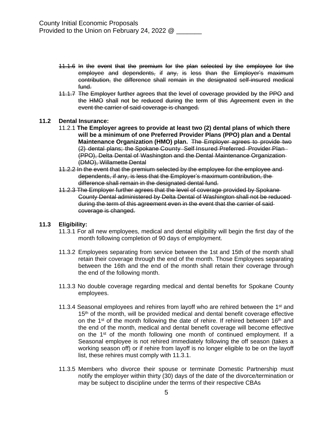- 11.1.6 In the event that the premium for the plan selected by the employee for the employee and dependents, if any, is less than the Employer's maximum contribution, the difference shall remain in the designated self-insured medical fund.
- 11.1.7 The Employer further agrees that the level of coverage provided by the PPO and the HMO shall not be reduced during the term of this Agreement even in the event the carrier of said coverage is changed.

#### **11.2 Dental Insurance:**

- 11.2.1 **The Employer agrees to provide at least two (2) dental plans of which there will be a minimum of one Preferred Provider Plans (PPO) plan and a Dental Maintenance Organization (HMO) plan.** The Employer agrees to provide two (2) dental plans; the Spokane County Self Insured Preferred Provider Plan (PPO), Delta Dental of Washington and the Dental Maintenance Organization (DMO), Willamette Dental
- 11.2.2 In the event that the premium selected by the employee for the employee and dependents, if any, is less that the Employer's maximum contribution, the difference shall remain in the designated dental fund.
- 11.2.3 The Employer further agrees that the level of coverage provided by Spokane County Dental administered by Delta Dental of Washington shall not be reduced during the term of this agreement even in the event that the carrier of said coverage is changed.

#### **11.3 Eligibility:**

- 11.3.1 For all new employees, medical and dental eligibility will begin the first day of the month following completion of 90 days of employment.
- 11.3.2 Employees separating from service between the 1st and 15th of the month shall retain their coverage through the end of the month. Those Employees separating between the 16th and the end of the month shall retain their coverage through the end of the following month.
- 11.3.3 No double coverage regarding medical and dental benefits for Spokane County employees.
- 11.3.4 Seasonal employees and rehires from layoff who are rehired between the  $1<sup>st</sup>$  and 15<sup>th</sup> of the month, will be provided medical and dental benefit coverage effective on the 1<sup>st</sup> of the month following the date of rehire. If rehired between 16<sup>th</sup> and the end of the month, medical and dental benefit coverage will become effective on the 1<sup>st</sup> of the month following one month of continued employment. If a Seasonal employee is not rehired immediately following the off season (takes a working season off) or if rehire from layoff is no longer eligible to be on the layoff list, these rehires must comply with 11.3.1.
- 11.3.5 Members who divorce their spouse or terminate Domestic Partnership must notify the employer within thirty (30) days of the date of the divorce/termination or may be subject to discipline under the terms of their respective CBAs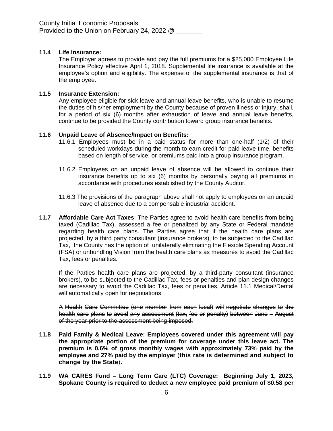## **11.4 Life Insurance:**

The Employer agrees to provide and pay the full premiums for a \$25,000 Employee Life Insurance Policy effective April 1, 2018. Supplemental life insurance is available at the employee's option and eligibility. The expense of the supplemental insurance is that of the employee.

#### **11.5 Insurance Extension:**

Any employee eligible for sick leave and annual leave benefits, who is unable to resume the duties of his/her employment by the County because of proven illness or injury, shall, for a period of six (6) months after exhaustion of leave and annual leave benefits, continue to be provided the County contribution toward group insurance benefits.

#### **11.6 Unpaid Leave of Absence/Impact on Benefits:**

- 11.6.1 Employees must be in a paid status for more than one-half (1/2) of their scheduled workdays during the month to earn credit for paid leave time, benefits based on length of service, or premiums paid into a group insurance program.
- 11.6.2 Employees on an unpaid leave of absence will be allowed to continue their insurance benefits up to six (6) months by personally paying all premiums in accordance with procedures established by the County Auditor.
- 11.6.3 The provisions of the paragraph above shall not apply to employees on an unpaid leave of absence due to a compensable industrial accident.
- **11.7 Affordable Care Act Taxes**: The Parties agree to avoid health care benefits from being taxed (Cadillac Tax), assessed a fee or penalized by any State or Federal mandate regarding health care plans. The Parties agree that if the health care plans are projected, by a third party consultant (insurance brokers), to be subjected to the Cadillac Tax, the County has the option of unilaterally eliminating the Flexible Spending Account (FSA) or unbundling Vision from the health care plans as measures to avoid the Cadillac Tax, fees or penalties.

If the Parties health care plans are projected, by a third-party consultant (insurance brokers), to be subjected to the Cadillac Tax, fees or penalties and plan design changes are necessary to avoid the Cadillac Tax, fees or penalties, Article 11.1 Medical/Dental will automatically open for negotiations.

A Health Care Committee (one member from each local) will negotiate changes to the health care plans to avoid any assessment (tax, fee or penalty) between June – August of the year prior to the assessment being imposed.

- **11.8 Paid Family & Medical Leave: Employees covered under this agreement will pay the appropriate portion of the premium for coverage under this leave act. The premium is 0.6% of gross monthly wages with approximately 73% paid by the employee and 27% paid by the employer** (**this rate is determined and subject to change by the State**)**.**
- **11.9 WA CARES Fund – Long Term Care (LTC) Coverage: Beginning July 1, 2023, Spokane County is required to deduct a new employee paid premium of \$0.58 per**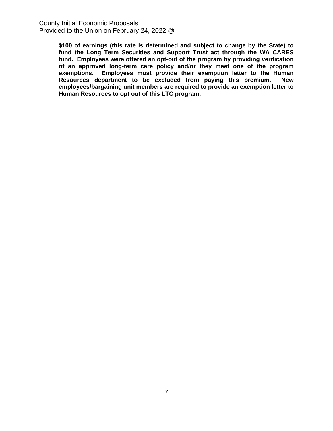> **\$100 of earnings (this rate is determined and subject to change by the State) to fund the Long Term Securities and Support Trust act through the WA CARES fund. Employees were offered an opt-out of the program by providing verification of an approved long-term care policy and/or they meet one of the program exemptions. Employees must provide their exemption letter to the Human Resources department to be excluded from paying this premium. New employees/bargaining unit members are required to provide an exemption letter to Human Resources to opt out of this LTC program.**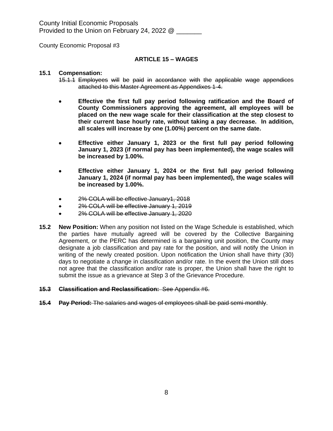County Economic Proposal #3

#### **ARTICLE 15 – WAGES**

#### **15.1 Compensation:**

- 15.1.1 Employees will be paid in accordance with the applicable wage appendices attached to this Master Agreement as Appendixes 1-4.
- **Effective the first full pay period following ratification and the Board of County Commissioners approving the agreement, all employees will be placed on the new wage scale for their classification at the step closest to their current base hourly rate, without taking a pay decrease. In addition, all scales will increase by one (1.00%) percent on the same date.**
- **Effective either January 1, 2023 or the first full pay period following January 1, 2023 (if normal pay has been implemented), the wage scales will be increased by 1.00%.**
- **Effective either January 1, 2024 or the first full pay period following January 1, 2024 (if normal pay has been implemented), the wage scales will be increased by 1.00%.**
- 2% COLA will be effective January1, 2018
- 2% COLA will be effective January 1, 2019
- 2% COLA will be effective January 1, 2020
- **15.2 New Position:** When any position not listed on the Wage Schedule is established, which the parties have mutually agreed will be covered by the Collective Bargaining Agreement, or the PERC has determined is a bargaining unit position, the County may designate a job classification and pay rate for the position, and will notify the Union in writing of the newly created position. Upon notification the Union shall have thirty (30) days to negotiate a change in classification and/or rate. In the event the Union still does not agree that the classification and/or rate is proper, the Union shall have the right to submit the issue as a grievance at Step 3 of the Grievance Procedure.

#### **15.3 Classification and Reclassification:** See Appendix #6.

**15.4 Pay Period:** The salaries and wages of employees shall be paid semi-monthly.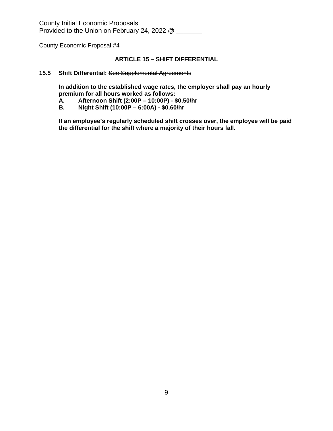County Economic Proposal #4

# **ARTICLE 15 – SHIFT DIFFERENTIAL**

#### **15.5 Shift Differential:** See Supplemental Agreements

**In addition to the established wage rates, the employer shall pay an hourly premium for all hours worked as follows:**

- **A. Afternoon Shift (2:00P – 10:00P) \$0.50/hr**
- **B. Night Shift (10:00P – 6:00A) \$0.60/hr**

**If an employee's regularly scheduled shift crosses over, the employee will be paid the differential for the shift where a majority of their hours fall.**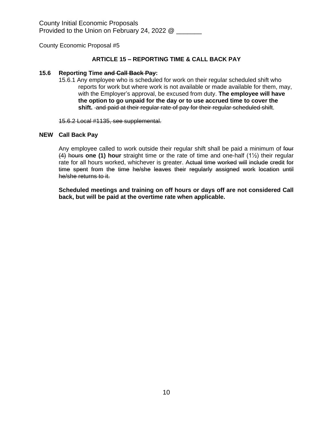County Economic Proposal #5

### **ARTICLE 15 – REPORTING TIME & CALL BACK PAY**

#### **15.6 Reporting Time and Call Back Pay:**

15.6.1 Any employee who is scheduled for work on their regular scheduled shift who reports for work but where work is not available or made available for them, may, with the Employer's approval, be excused from duty. **The employee will have the option to go unpaid for the day or to use accrued time to cover the shift.** and paid at their regular rate of pay for their regular scheduled shift.

15.6.2 Local #1135, see supplemental.

#### **NEW Call Back Pay**

Any employee called to work outside their regular shift shall be paid a minimum of four (4) hours **one (1) hour** straight time or the rate of time and one-half (1½) their regular rate for all hours worked, whichever is greater. Actual time worked will include credit for time spent from the time he/she leaves their regularly assigned work location until he/she returns to it.

**Scheduled meetings and training on off hours or days off are not considered Call back, but will be paid at the overtime rate when applicable.**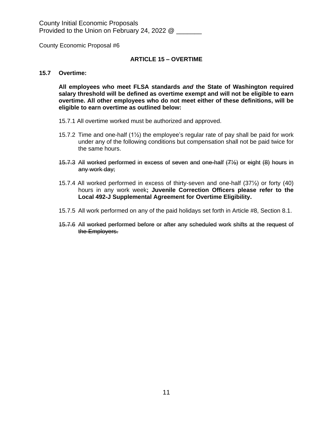County Economic Proposal #6

#### **ARTICLE 15 – OVERTIME**

#### **15.7 Overtime:**

**All employees who meet FLSA standards** *and* **the State of Washington required salary threshold will be defined as overtime exempt and will not be eligible to earn overtime. All other employees who do not meet either of these definitions, will be eligible to earn overtime as outlined below:**

- 15.7.1 All overtime worked must be authorized and approved.
- 15.7.2 Time and one-half  $(1/2)$  the employee's regular rate of pay shall be paid for work under any of the following conditions but compensation shall not be paid twice for the same hours.
- 15.7.3 All worked performed in excess of seven and one-half (7½) or eight (8) hours in any work day;
- 15.7.4 All worked performed in excess of thirty-seven and one-half (37½) or forty (40) hours in any work week**; Juvenile Correction Officers please refer to the Local 492-J Supplemental Agreement for Overtime Eligibility.**
- 15.7.5 All work performed on any of the paid holidays set forth in Article #8, Section 8.1.
- 15.7.6 All worked performed before or after any scheduled work shifts at the request of the Employers.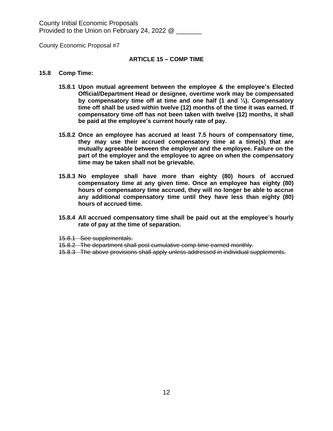County Economic Proposal #7

#### **ARTICLE 15 – COMP TIME**

#### **15.8 Comp Time:**

- **15.8.1 Upon mutual agreement between the employee & the employee's Elected Official/Department Head or designee, overtime work may be compensated by compensatory time off at time and one half (1 and ½). Compensatory time off shall be used within twelve (12) months of the time it was earned. If compensatory time off has not been taken with twelve (12) months, it shall be paid at the employee's current hourly rate of pay.**
- **15.8.2 Once an employee has accrued at least 7.5 hours of compensatory time, they may use their accrued compensatory time at a time(s) that are mutually agreeable between the employer and the employee. Failure on the part of the employer and the employee to agree on when the compensatory time may be taken shall not be grievable.**
- **15.8.3 No employee shall have more than eighty (80) hours of accrued compensatory time at any given time. Once an employee has eighty (80) hours of compensatory time accrued, they will no longer be able to accrue any additional compensatory time until they have less than eighty (80) hours of accrued time.**
- **15.8.4 All accrued compensatory time shall be paid out at the employee's hourly rate of pay at the time of separation.**
- 15.8.1 See supplementals.
- 15.8.2 The department shall post cumulative comp time earned monthly.
- 15.8.3 The above provisions shall apply unless addressed in individual supplements.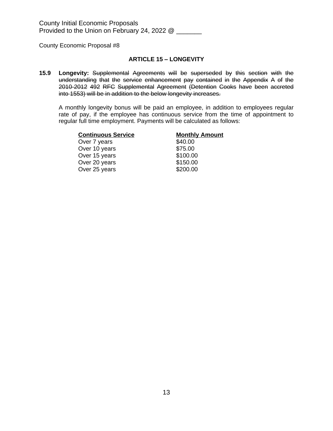County Economic Proposal #8

#### **ARTICLE 15 – LONGEVITY**

**15.9 Longevity:** Supplemental Agreements will be superseded by this section with the understanding that the service enhancement pay contained in the Appendix A of the 2010-2012 492 RFC Supplemental Agreement (Detention Cooks have been accreted into 1553) will be in addition to the below longevity increases.

A monthly longevity bonus will be paid an employee, in addition to employees regular rate of pay, if the employee has continuous service from the time of appointment to regular full time employment. Payments will be calculated as follows:

| <b>Continuous Service</b> | <b>Monthly Amount</b> |
|---------------------------|-----------------------|
| Over 7 years              | \$40.00               |
| Over 10 years             | \$75.00               |
| Over 15 years             | \$100.00              |
| Over 20 years             | \$150.00              |
| Over 25 years             | \$200.00              |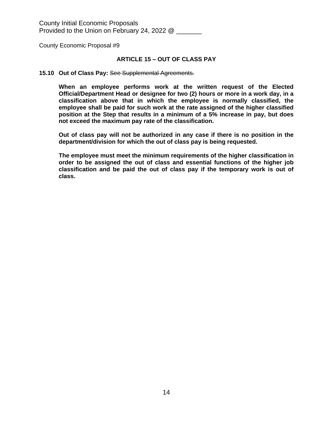County Economic Proposal #9

#### **ARTICLE 15 – OUT OF CLASS PAY**

#### **15.10 Out of Class Pay:** See Supplemental Agreements.

**When an employee performs work at the written request of the Elected Official/Department Head or designee for two (2) hours or more in a work day, in a classification above that in which the employee is normally classified, the employee shall be paid for such work at the rate assigned of the higher classified position at the Step that results in a minimum of a 5% increase in pay, but does not exceed the maximum pay rate of the classification.**

**Out of class pay will not be authorized in any case if there is no position in the department/division for which the out of class pay is being requested.**

**The employee must meet the minimum requirements of the higher classification in order to be assigned the out of class and essential functions of the higher job classification and be paid the out of class pay if the temporary work is out of class.**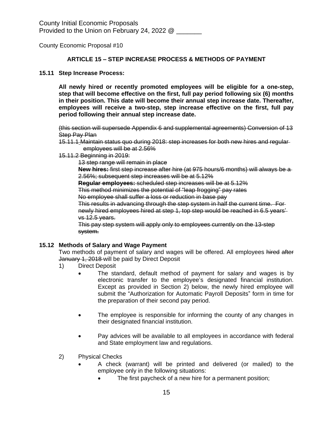County Economic Proposal #10

#### **ARTICLE 15 – STEP INCREASE PROCESS & METHODS OF PAYMENT**

#### **15.11 Step Increase Process:**

**All newly hired or recently promoted employees will be eligible for a one-step, step that will become effective on the first, full pay period following six (6) months in their position. This date will become their annual step increase date. Thereafter, employees will receive a two-step, step increase effective on the first, full pay period following their annual step increase date.**

(this section will supersede Appendix 6 and supplemental agreements) Conversion of 13 **Step Pay Plan** 

- 15.11.1 Maintain status quo during 2018: step increases for both new hires and regular employees will be at 2.56%
- 15.11.2 Beginning in 2019:

13 step range will remain in place

**New hires:** first step increase after hire (at 975 hours/6 months) will always be a 2.56%; subsequent step increases will be at 5.12%

**Regular employees:** scheduled step increases will be at 5.12%

This method minimizes the potential of "leap frogging" pay rates

No employee shall suffer a loss or reduction in base pay

This results in advancing through the step system in half the current time. For newly hired employees hired at step 1, top step would be reached in 6.5 years' vs 12.5 years.

This pay step system will apply only to employees currently on the 13-step system.

#### **15.12 Methods of Salary and Wage Payment**

Two methods of payment of salary and wages will be offered. All employees hired after January 1, 2018 will be paid by Direct Deposit

- 1) Direct Deposit
	- The standard, default method of payment for salary and wages is by electronic transfer to the employee's designated financial institution. Except as provided in Section 2) below, the newly hired employee will submit the "Authorization for Automatic Payroll Deposits" form in time for the preparation of their second pay period.
	- The employee is responsible for informing the county of any changes in their designated financial institution.
	- Pay advices will be available to all employees in accordance with federal and State employment law and regulations.
- 2) Physical Checks
	- A check (warrant) will be printed and delivered (or mailed) to the employee only in the following situations:
		- The first paycheck of a new hire for a permanent position;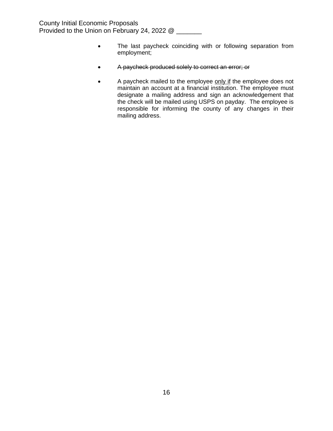- The last paycheck coinciding with or following separation from employment;
- A paycheck produced solely to correct an error; or
- A paycheck mailed to the employee only if the employee does not maintain an account at a financial institution. The employee must designate a mailing address and sign an acknowledgement that the check will be mailed using USPS on payday. The employee is responsible for informing the county of any changes in their mailing address.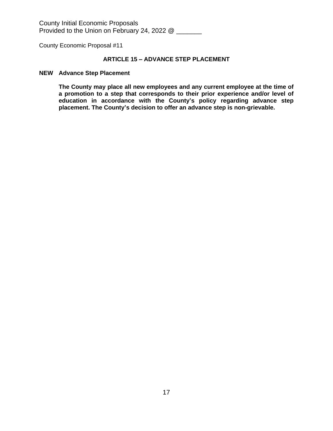County Economic Proposal #11

# **ARTICLE 15 – ADVANCE STEP PLACEMENT**

#### **NEW Advance Step Placement**

**The County may place all new employees and any current employee at the time of a promotion to a step that corresponds to their prior experience and/or level of education in accordance with the County's policy regarding advance step placement. The County's decision to offer an advance step is non-grievable.**